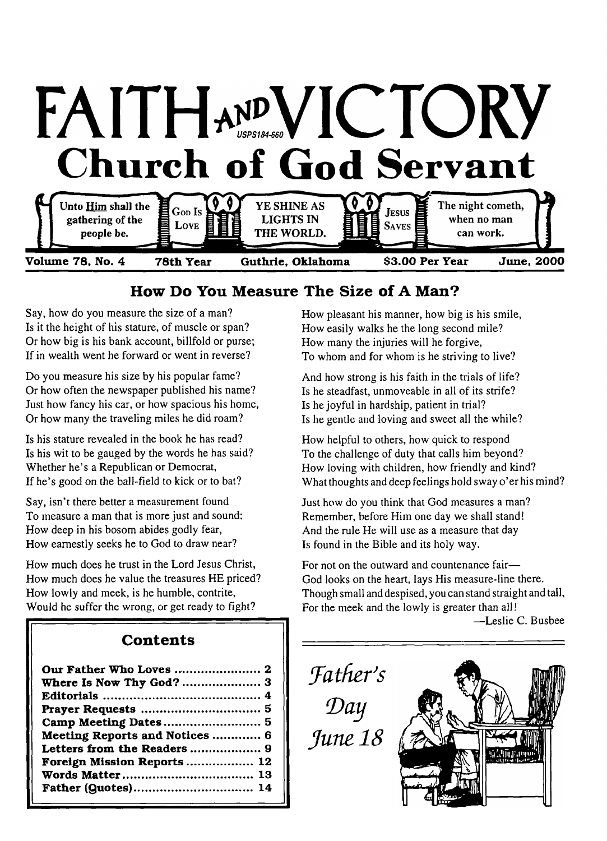

# **How Do You Measure The Size of A Man?**

Say, how do you measure the size of a man? Is it the height of his stature, of muscle or span? Or how big is his bank account, billfold or purse; If in wealth went he forward or went in reverse?

Do you measure his size by his popular fame? Or how often the newspaper published his name? Just how fancy his car, or how spacious his home, Or how many the traveling miles he did roam?

Is his stature revealed in the book he has read? Is his wit to be gauged by the words he has said? Whether he's a Republican or Democrat, If he's good on the ball-field to kick or to bat?

Say, isn't there better a measurement found To measure a man that is more just and sound: How deep in his bosom abides godly fear, How earnestly seeks he to God to draw near?

How much does he trust in the Lord Jesus Christ, How much does he value the treasures HE priced? How lowly and meek, is he humble, contrite, Would he suffer the wrong, or get ready to fight?

# **Con tents**

| Where Is Now Thy God?  3       |
|--------------------------------|
|                                |
|                                |
|                                |
| Meeting Reports and Notices  6 |
|                                |
| Foreign Mission Reports  12    |
|                                |
|                                |

How pleasant his manner, how big is his smile, How easily walks he the long second mile? How many the injuries will he forgive, To whom and for whom is he striving to live?

And how strong is his faith in the trials of life? Is he steadfast, unmoveable in all of its strife? Is he joyful in hardship, patient in trial? Is he gentle and loving and sweet all the while?

How helpful to others, how quick to respond To the challenge of duty that calls him beyond? How loving with children, how friendly and kind? What thoughts and deep feelings hold sway o'er his mind?

Just how do you think that God measures a man? Remember, before Him one day we shall stand! And the rule He will use as a measure that day Is found in the Bible and its holy way.

For not on the outward and countenance fair— God looks on the heart, lays His measure-line there. Though small and despised, you can stand straight and tall, For the meek and the lowly is greater than all!

—Leslie C. Busbee

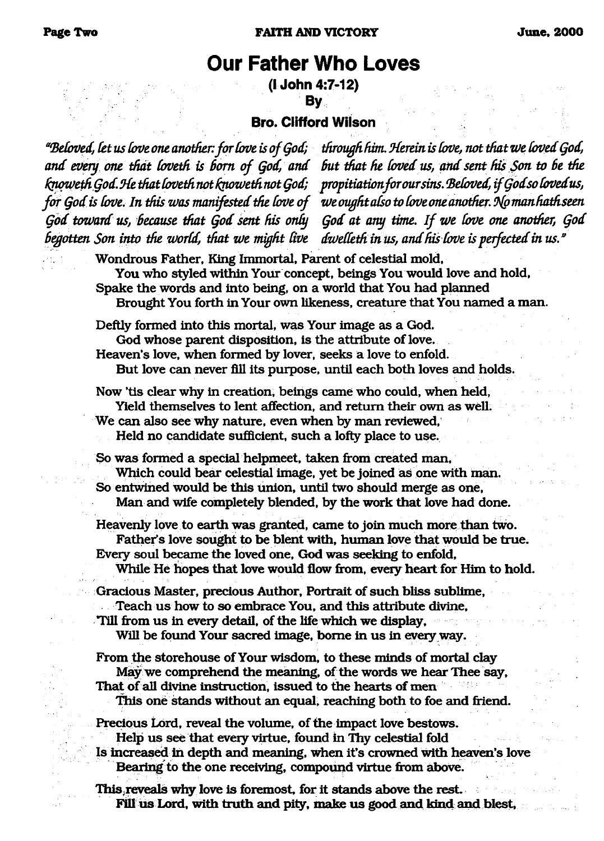# <span id="page-1-0"></span>**Our Father Who Loves**

**(i John 4:7-12) By**

#### **Bro. Clifford Wilson**

*'"Befoved, Cet us Cove one another, for Cove is of Qod; and every one tfidt (oveth is Bom of Qod, and CqwwethQod.SCe that (oveth not fqioweth not Qod; for Qod is L'ove*. *In this was manifested the Cove of Qod toward us, Because that Qod sent his only* begotten Son into the world, that we might live

*through him. ^Herein is Cove, not that we Coved Qod, But that he Coved us, and sent fus Son to Be the propitiationforoursins. Beloved, ifQodso Covedus, we ought also to Cove one another. 9(p manhathseen Qod at any time. If we Cove one another, Qod dwedethinus, and his Cove is perfected in us."*

Wondrous Father, King Immortal, Parent of celestial mold, You who styled within Your concept, beings You would love and hold, Spake the words and into being, on a world that You had planned Brought You forth in Your own likeness, creature that You named a man.

Deftly formed into this mortal, was Your image as a God. God whose parent disposition, is the attribute of love. Heaven's love, when formed by lover, seeks a love to enfold.

But love can never fill its purpose, until each both loves and holds.

Now 'tis clear why in creation, beings came who could, when held, Yield themselves to lent affection, and return their own as well. We can also see why nature, even when by man reviewed, Held no candidate sufficient, such a lofty place to use.

So was formed a special helpmeet, taken from created man, Which could bear celestial image, yet be joined as one with man. So entwined would be this union, until two should merge as one, Man and wife completely blended, by the work that love had done.

Heavenly love to earth was granted, came to join much more than two. Father's love sought to be blent with, human love that would be true. Every soul became the loved one, God was seeking to enfold,

While He hopes that love would flow from, every heart for Him to hold.

Gracious Master, precious Author, Portrait of such bliss sublime, Teach us how to so embrace You, and this attribute divine,

Till from us in every detail, of the life which we display, Will be found Your sacred image, borne in us in every way.

From the storehouse of Your wisdom, to these minds of mortal clay May we comprehend the meaning, of the words we hear Thee say, That of all divine instruction, issued to the hearts of men This one stands without an equal, reaching both to foe and friend.

Precious Lord, reveal the volume, of the impact love bestows. Help us see that every virtue, found in Thy celestial fold

Is increased in depth and meaning, when it's crowned with heaven's love Bearing to the one receiving, compound virtue from above.

This.reveals why love is foremost, for it stands above the rest. Fill ius Lord, with truth and pity, make us good and kind and blest,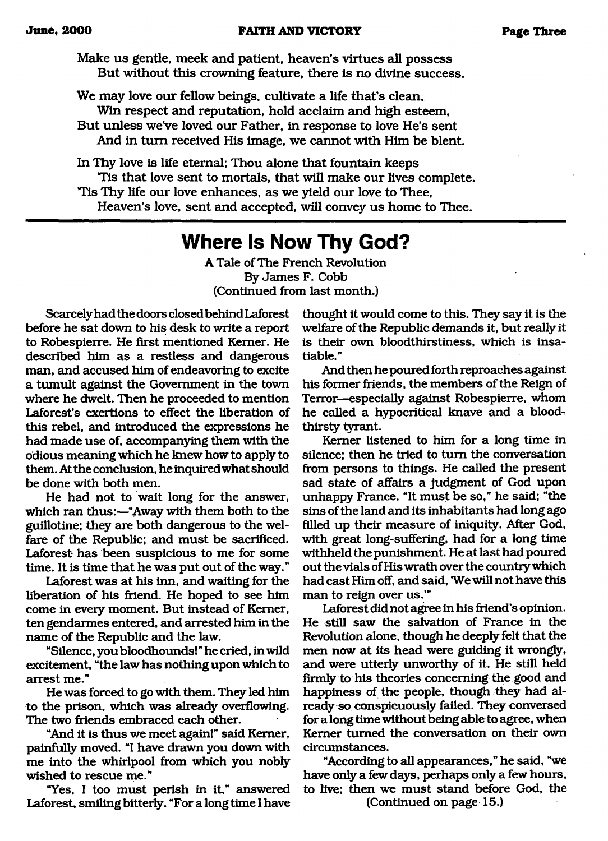Make us gentle, meek and patient, heaven's virtues all possess But without this crowning feature, there is no divine success.

We may love our fellow beings, cultivate a life that's clean, Win respect and reputation, hold acclaim and high esteem, But unless we've loved our Father, in response to love He's sent

And in turn received His image, we cannot with Him be blent.

In Thy love is life eternal; Thou alone that fountain keeps Tis that love sent to mortals, that will make our lives complete. The Thy life our love enhances, as we yield our love to Thee, Heaven's love, sent and accepted, will convey us home to Thee.

# <span id="page-2-0"></span>**Where Is Now Thy God?**

A Tale of The French Revolution By James F. Cobb (Continued from last month.)

Scarcely had the doors closed behind Laforest before he sat down to his desk to write a report to Robespierre. He first mentioned Kemer. He described him as a restless and dangerous man, and accused him of endeavoring to excite a tumult against the Government in the town where he dwelt. Then he proceeded to mention Laforest's exertions to effect the liberation of this rebel, and introduced the expressions he had made use of, accompanying them with the odious meaning which he knew how to apply to them. At the conclusion, he inquired what should be done with both men.

He had not to wait long for the answer, which ran thus:—"Away with them both to the guillotine; they are both dangerous to the welfare of the Republic; and must be sacrificed. Laforest has been suspicious to me for some time. It is time that he was put out of the way."

Laforest was at his inn, and waiting for the liberation of his friend. He hoped to see him come in every moment. But instead of Kemer, ten gendarmes entered, and arrested him in the name of the Republic and the law.

"Silence, you bloodhounds! " he cried, in wild excitement, "the law has nothing upon which to arrest me."

He was forced to go with them. They led him to the prison, which was already overflowing. The two friends embraced each other.

"And it is thus we meet again!" said Kemer, painfully moved. "I have drawn you down with me into the whirlpool from which you nobly wished to rescue me."

"Yes, I too must perish in it," answered Laforest, smiling bitterly. "For a long time I have

thought it would come to this. They say it is the welfare of the Republic demands it, but really it is their own bloodthirstiness, which is insatiable."

And then he poured forth reproaches against his former friends, the members of the Reign of Terror—especially against Robespierre, whom he called a hypocritical knave and a bloodthirsty tyrant.

Kemer listened to him for a long time in silence; then he tried to turn the conversation from persons to things. He called the present sad state of affairs a judgment of God upon unhappy France. "It must be so," he said; "the sins of the land and its inhabitants had long ago filled up their measure of iniquity. After God, with great long-suffering, had for a long time withheld the punishment. He at last had poured out the vials of His wrath over the country which had cast Him off, and said, 'We will not have this man to reign over us.'"

Laforest did not agree in his friend's opinion. He still saw the salvation of France in the Revolution alone, though he deeply felt that the men now at its head were guiding it wrongly, and were utterly unworthy of it. He still held firmly to his theories concerning the good and happiness of the people, though they had already so conspicuously failed. They conversed for a long time without being able to agree, when Kemer turned the conversation on their own circumstances.

"According to all appearances," he said, "we have only a few days, perhaps only a few hours, to live; then we must stand before God, the (Continued on page 15.)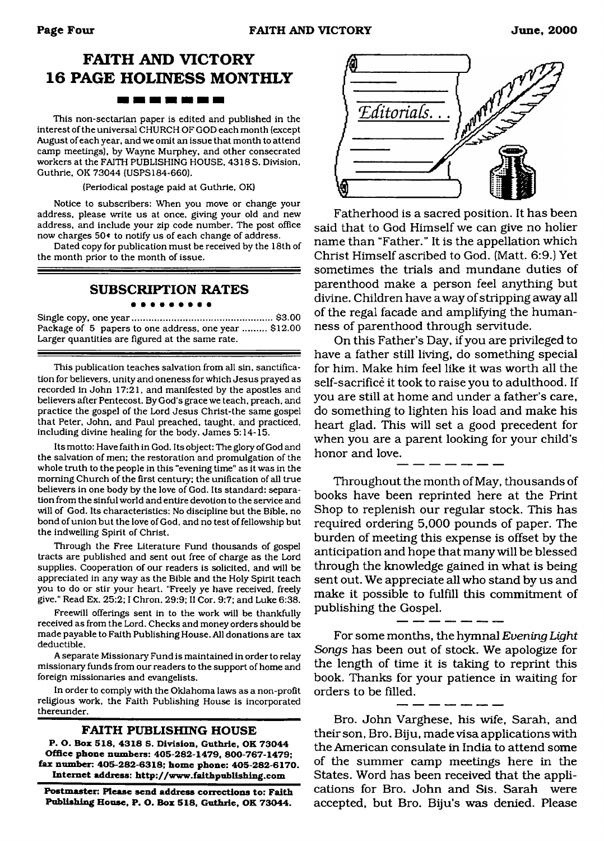# **FAITH AND VICTORY 16 PAGE HOLINESS MONTHLY**

#### . . . .

This non-sectarian paper is edited and published in the interest of the universal CHURCH OF GOD each month (except August of each year, and we omit an issue that month to attend camp meetings), by Wayne Murphey, and other consecrated workers at the FAITH PUBLISHING HOUSE, 4318 S. Division, Guthrie. OK 73044 (USPS184-660).

(Periodical postage paid at Guthrie, OK)

Notice to subscribers: When you move or change your address, please write us at once, giving your old and new address, and include your zip code number. The post office now charges 50< to notify us of each change of address.

Dated copy for publication must be received by the 18th of the month prior to the month of issue.

#### **SUBSCRIPTION RATES**

. . . . . .

Single copy, one year..................................................... \$3.00 Package of 5 papers to one address, one year ......... \$12.00 Larger quantities are figured at the same rate.

This publication teaches salvation from all sin, sanctification for believers, unity and oneness for which Jesus prayed as recorded in John 17:21, and manifested by the apostles and believers after Pentecost. By God's grace we teach, preach, and practice the gospel of the Lord Jesus Christ-the same gospel that Peter. John, and Paul preached, taught, and practiced, including divine heading for the body. James 5:14-15.

Its motto: Have faith in God. Its object: The glory of God and the salvation of men; the restoration and promulgation of the whole truth to the people in this "evening time" as it was in the morning Church of the first century; the unification of all true believers in one body by the love of God. Its standard: separation from the sinful world and entire devotion to the service and will of God. Its characteristics: No discipline but the Bible, no bond of union but the love of God, and no test of fellowship but the indwelling Spirit of Christ.

Through the Free Literature Fund thousands of gospel tracts are published and sent out free of charge as the Lord supplies. Cooperation of our readers is solicited, and will be appreciated in any way as the Bible and the Holy Spirit teach you to do or stir your heart. "Freely ye have received, freely give." Read Ex. 25:2; I Chron. 29:9; II Cor. 9:7; and Luke 6:38.

Freewill offerings sent in to the work will be thankfully received as from the Lord. Checks and money orders should be made payable to Faith Publishing House. All donations are tax deductible.

A separate Missionary Fund is maintained in order to relay missionary funds from our readers to the support of home and foreign missionaries and evangelists.

In order to comply with the Oklahoma laws as a non-profit religious work, the Faith Publishing House is incorporated thereunder.

#### **FAITH PUBLISHING HOUSE**

**P. O. Box 518, 4318 S. Division. Guthrie, OK 73044 Office phone numbers: 405-282-1479, 800-767-1479; fax number: 405-282-6318; home phone: 405-282-6170. Internet address: <http://www.faithpublishing.com>**

**Postmaster: Please send address corrections to: Faith Publishing House, P. O. Box 518, Guthrie. OK 73044.**



Fatherhood is a sacred position. It has been said that to God Himself we can give no holier name than "Father." It is the appellation which Christ Himself ascribed to God. (Matt. 6:9.) Yet sometimes the trials and mundane duties of parenthood make a person feel anything but divine. Children have away of stripping away all of the regal facade and amplifying the humanness of parenthood through servitude.

On this Father's Day, if you are privileged to have a father still living, do something special for him. Make him feel like it was worth all the self-sacrifice it took to raise you to adulthood. If you are still at home and under a father's care, do something to lighten his load and make his heart glad. This will set a good precedent for when you are a parent looking for your child's honor and love.

Throughout the month of May, thousands of books have been reprinted here at the Print Shop to replenish our regular stock. This has required ordering 5,000 pounds of paper. The burden of meeting this expense is offset by the anticipation and hope that many will be blessed through the knowledge gained in what is being sent out. We appreciate all who stand by us and make it possible to fulfill this commitment of publishing the Gospel.

For some months, the hymnal *Evening Light Songs* has been out of stock. We apologize for the length of time it is taking to reprint this book. Thanks for your patience in waiting for orders to be filled.

Bro. John Varghese, his wife, Sarah, and their son, Bro. Biju, made visa applications with the American consulate in India to attend some of the summer camp meetings here in the States. Word has been received that the applications for Bro. John and Sis. Sarah were accepted, but Bro. Biju's was denied. Please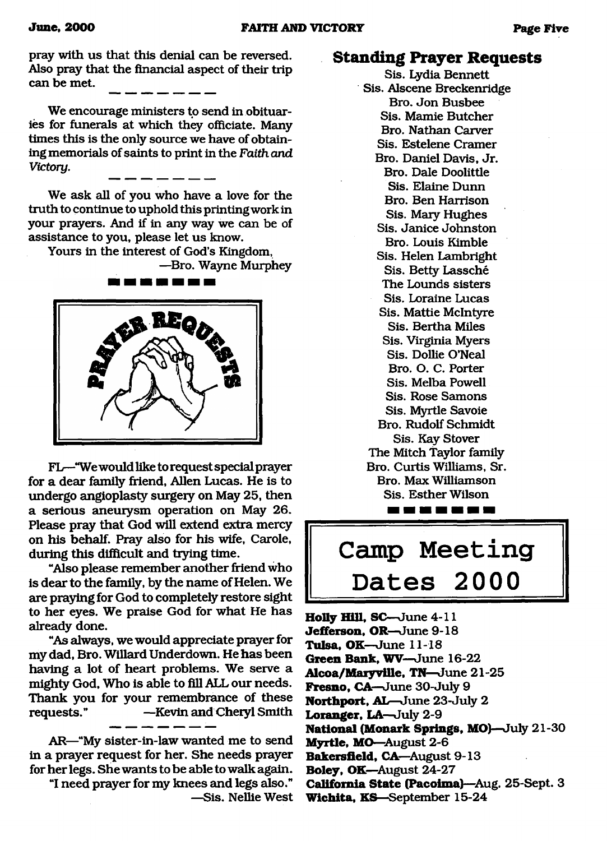pray with us that this denial can be reversed. Also pray that the financial aspect of their trip can be met.

We encourage ministers to send in obituaries for funerals at which they officiate. Many times this is the only source we have of obtaining memorials of saints to print in the *Faith and Victory.*

We ask all of you who have a love for the truth to continue to uphold this printing work in your prayers. And if in any way we can be of assistance to you, please let us know.

Yours in the interest of God's Kingdom,

—Bro. Wayne Murphey



FL—"We would like to request special prayer for a dear family friend, Allen Lucas. He is to undergo angioplasty surgery on May 25, then a serious aneurysm operation on May 26. Please pray that God will extend extra mercy on his behalf. Pray also for his wife, Carole, during this difficult and trying time.

"Also please remember another friend who is dear to the family, by the name of Helen. We are praying for God to completely restore sight to her eyes. We praise God for what He has already done.

"As always, we would appreciate prayer for my dad, Bro. Willard Underdown. He has been having a lot of heart problems. We serve a mighty God, Who is able to fill ALL our needs. Thank you for your remembrance of these requests." —Kevin and Cheryl Smith

AR—"My sister-in-law wanted me to send in a prayer request for her. She needs prayer for her legs. She wants to be able to walk again.

"I need prayer for my knees and legs also."

—Sis. Nellie West

## **Standing Prayer Requests**

Sis. Lydia Bennett Sis. Alscene Breckenridge Bro. Jon Busbee Sis. Mamie Butcher Bro. Nathan Carver Sis. Estelene Cramer Bro. Daniel Davis, Jr. Bro. Dale Doolittle Sis. Elaine Dunn Bro. Ben Harrison Sis. Mary Hughes Sis. Janice Johnston Bro. Louis Kimble Sis. Helen Lambright Sis. Betty Lassche The Lounds sisters Sis. Loraine Lucas Sis. Mattie McIntyre Sis. Bertha Miles Sis. Virginia Myers Sis. Dollie O'Neal Bro. O. C. Porter Sis. Melba Powell Sis. Rose Samons Sis. Myrtle Savoie Bro. Rudolf Schmidt Sis. Kay Stover The Mitch Taylor family Bro. Curtis Williams, Sr. Bro. Max Williamson Sis. Esther Wilson --------

# <span id="page-4-0"></span>**Camp Meeting Dates 2000**

**Holly Hill, SC**—June 4-11 **Jefferson, OR—**June 9-18 **Tulsa, OK—**June 11-18 **Green Bank, WV**—June 16-22 **Alcoa/Maryville,** TN—June 21-25 **Fresno, CA—**June 30-July 9 **Northport, AL**—June 23-July 2 **Loranger, LA—July 2-9 National (Monark Springs, MO)**—July 21-30 **Myrtle, MO—**August 2-6 **Bakersfield,** CA—August 9-13 **Boley, OK—**August 24-27 **California State (Pacoima)**—Aug. 25-Sept. 3 **Wichita, KS**—September 15-24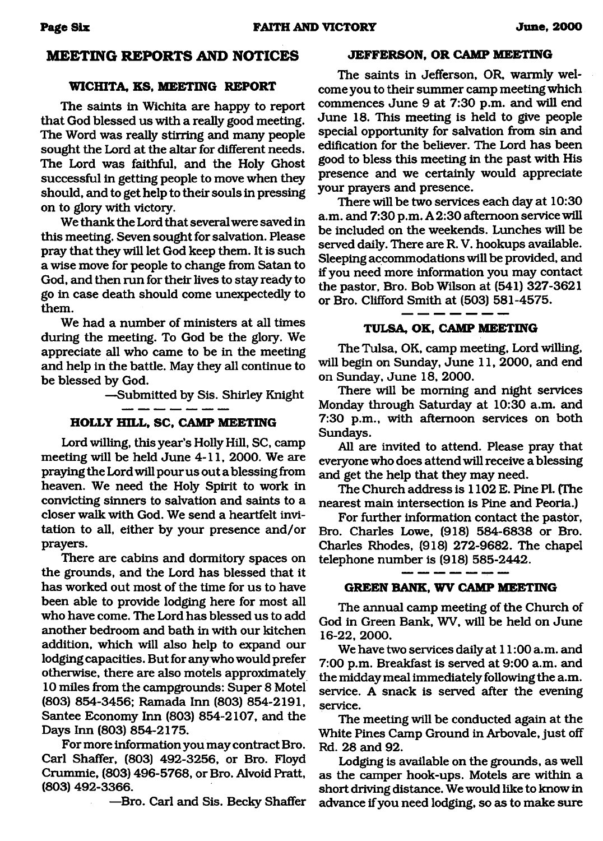#### **MEETING REPORTS AND NOTICES**

#### **WICHITA, KS, MEETING REPORT**

The saints in Wichita are happy to report that God blessed us with a really good meeting. The Word was really stirring and many people sought the Lord at the altar for different needs. The Lord was faithful, and the Holy Ghost successful in getting people to move when they should, and to get help to their souls in pressing on to glory with victory.

We thank the Lord that several were saved in this meeting. Seven sought for salvation. Please pray that they will let God keep them. It is such a wise move for people to change from Satan to God, and then run for their lives to stay ready to go in case death should come unexpectedly to them.

We had a number of ministers at all times during the meeting. To God be the glory. We appreciate all who came to be in the meeting and help in the battle. May they all continue to be blessed by God.

—Submitted by Sis. Shirley Knight

### **HOLLY HILL, SC, CAMP MEETING**

Lord willing, this year's Holly Hill, SC, camp meeting will be held June 4-11, 2000. We are praying the Lord will pour us out a blessing from heaven. We need the Holy Spirit to work in convicting sinners to salvation and saints to a closer walk with God. We send a heartfelt invitation to all, either by your presence and/or prayers.

There are cabins and dormitory spaces on the grounds, and the Lord has blessed that it has worked out most of the time for us to have been able to provide lodging here for most all who have come. The Lord has blessed us to add another bedroom and bath in with our kitchen addition, which will also help to expand our lodging capacities. But for any who would prefer otherwise, there are also motels approximately 10 miles from the campgrounds: Super 8 Motel (803) 854-3456; Ramada Inn (803) 854-2191, Santee Economy Inn (803) 854-2107, and the Days Inn (803) 854-2175.

For more information you may contract Bro. Carl Shaffer, (803) 492-3256, or Bro. Floyd Crummie, (803) 496-5768, or Bro. Alvoid Pratt, (803) 492-3366.

—Bro. Carl and Sis. Becky Shaffer

#### **JEFFERSON, OR CAMP MEETING**

The saints in Jefferson, OR, warmly welcome you to their summer camp meeting which commences June 9 at 7:30 p.m. and will end June 18. This meeting is held to give people special opportunity for salvation from sin and edification for the believer. The Lord has been good to bless this meeting in the past with His presence and we certainly would appreciate your prayers and presence.

There will be two services each day at 10:30 a.m. and 7:30 p.m. A 2:30 afternoon service will be included on the weekends. Lunches will be served daily. There are R. V. hookups available. Sleeping accommodations will be provided, and if you need more information you may contact the pastor, Bro. Bob Wilson at (541) 327-3621 or Bro. Clifford Smith at (503) 581-4575.

**TULSA, OK, CAMP MEETING**

The Tulsa, OK, camp meeting, Lord willing, will begin on Sunday, June 11, 2000, and end on Sunday, June 18, 2000.

There will be morning and night services Monday through Saturday at 10:30 a.m. and 7:30 p.m., with afternoon services on both Sundays.

All are invited to attend. Please pray that everyone who does attend will receive a blessing and get the help that they may need.

The Church address is 1102 E. Pine PI. (The nearest main intersection is Pine and Peoria.)

For further information contact the pastor, Bro. Charles Lowe, (918) 584-6838 or Bro. Charles Rhodes, (918) 272-9682. The chapel telephone number is (918) 585-2442.

#### **GREEN BANK, WV CAMP MEETING**

The annual camp meeting of the Church of God in Green Bank, WV, will be held on June 16-22, 2000.

We have two services daily at 11:00 a.m. and 7:00 p.m. Breakfast is served at 9:00 a.m. and the midday meal immediately following the a.m. service. A snack is served after the evening service.

The meeting will be conducted again at the White Pines Camp Ground in Arbovale, just off Rd. 28 and 92.

Lodging is available on the grounds, as well as the camper hook-ups. Motels are within a short driving distance. We would like to know in advance if you need lodging, so as to make sure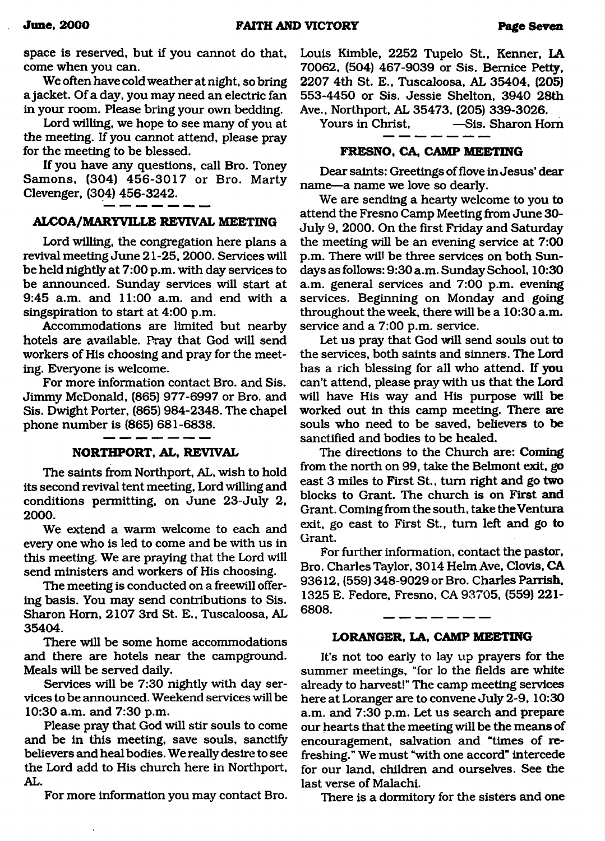space is reserved, but if you cannot do that, come when you can.

We often have cold weather at night, so bring a jacket. Of a day, you may need an electric fan in your room. Please bring your own bedding.

Lord willing, we hope to see many of you at the meeting. If you cannot attend, please pray for the meeting to be blessed.

If you have any questions, call Bro. Toney Samons, (304) 456-3017 or Bro. Marty Clevenger, (304) 456-3242.

#### **ALCOA/MARYVILLE REVIVAL MEETING**

Lord willing, the congregation here plans a revival meeting June 21-25,2000. Services will be held nightly at 7:00 p.m. with day services to be announced. Sunday services will start at 9:45 a.m. and 11:00 a.m. and end with a singspiration to start at 4:00 p.m.

Accommodations are limited but nearby hotels are available. Pray that God will send workers of His choosing and pray for the meeting. Everyone is welcome.

For more information contact Bro. and Sis. Jimmy McDonald, (865) 977-6997 or Bro. and Sis. Dwight Porter, (865) 984-2348. The chapel phone number is (865) 681-6838.

#### **NORTHPORT, AL, REVIVAL**

The saints from Northport, AL, wish to hold its second revival tent meeting, Lord willing and conditions permitting, on June 23-July 2, 2000**.**

We extend a warm welcome to each and every one who is led to come and be with us in this meeting. We are praying that the Lord will send ministers and workers of His choosing.

The meeting is conducted on a freewill offering basis. You may send contributions to Sis. Sharon Horn, 2107 3rd St. E., Tuscaloosa, AL 35404.

There will be some home accommodations and there are hotels near the campground. Meals will be served daily.

Services will be 7:30 nightly with day services to be announced. Weekend services will be 10:30 a.m. and 7:30 p.m.

Please pray that God will stir souls to come and be in this meeting, save souls, sanctify believers and heal bodies. We really desire to see the Lord add to His church here in Northport, AL.

For more information you may contact Bro.

Louis Kimble, 2252 Tupelo St., Kenner, LA 70062, (504) 467-9039 or Sis. Bernice Petty, 2207 4th St. E., Tuscaloosa, AL 35404, (205) 553-4450 or Sis. Jessie Shelton, 3940 28th Ave., Northport, AL 35473, (205) 339-3026.

 $-S$ is. Sharon Horn

#### **FRESNO, CA, CAMP MEETING**

Dear saints: Greetings of flove in Jesus' dear name—a name we love so dearly.

We are sending a hearty welcome to you to attend the Fresno Camp Meeting from June 30- July 9, 2000. On the first Friday and Saturday the meeting will be an evening service at 7:00 p.m. There will be three services on both Sundays as follows: 9:30 a.m. Sunday School, 10:30 a.m. general services and 7:00 p.m. evening services. Beginning on Monday and going throughout the week, there will be a 10:30 a.m. service and a 7:00 p.m. service.

Let us pray that God will send souls out to the services, both saints and sinners. The Lord has a rich blessing for all who attend. If you can't attend, please pray with us that the Lord will have His way and His purpose will be worked out in this camp meeting. There are souls who need to be saved, believers to be sanctified and bodies to be healed.

The directions to the Church are: Coming from the north on 99, take the Belmont exit, go east 3 miles to First St., turn right and go two blocks to Grant. The church is on First and Grant. Coming from the south, take the Ventura exit, go east to First St., turn left and go to Grant.

For further information, contact the pastor, Bro. Charles Taylor, 3014 Helm Ave, Clovis, CA 93612, (559) 348-9029 or Bro. Charles Parrish, 1325 E. Fedore, Fresno, CA 93705, (559) 221- 6808.

#### **LORANGER, LA, CAMP MEETING**

It's not too early to lay up prayers for the summer meetings, "for lo the fields are white already to harvest!" The camp meeting services here at Loranger are to convene July 2-9, 10:30 a.m. and 7:30 p.m. Let us search and prepare our hearts that the meeting will be the means of encouragement, salvation and "times of refreshing." We must "with one accord" intercede for our land, children and ourselves. See the last verse of Malachi.

There is a dormitory for the sisters and one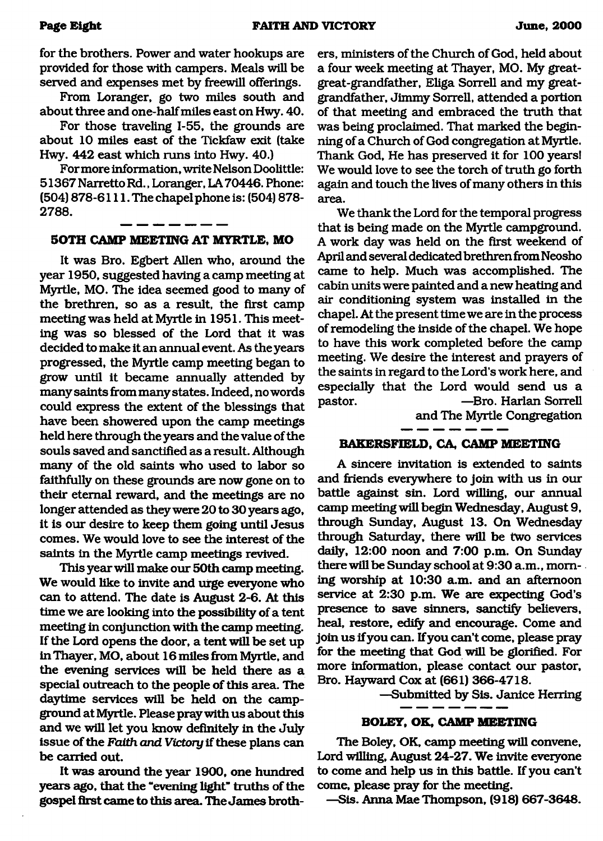for the brothers. Power and water hookups are provided for those with campers. Meals will be served and expenses met by freewill offerings.

From Loranger, go two miles south and about three and one-half miles east on Hwy. 40.

For those traveling 1-55, the grounds are about 10 miles east of the Tickfaw exit (take Hwy. 442 east which runs into Hwy. 40.)

For more information, write Nelson Doolittle: 51367Narretto Rd., Loranger, LA70446. Phone: (504) 878-6111. The chapel phone is: (504) 878- 2788.

#### **SOTH CAMP MEETING AT MYRTLE, MO**

It was Bro. Egbert Allen who, around the year 1950, suggested having a camp meeting at Myrtle, MO. The idea seemed good to many of the brethren, so as a result, the first camp meeting was held at Myrtle in 1951. This meeting was so blessed of the Lord that it was decided to make it an annual event. As the years progressed, the Myrtle camp meeting began to grow until it became annually attended by many saints from many states. Indeed, no words could express the extent of the blessings that have been showered upon the camp meetings held here through the years and the value of the souls saved and sanctified as a result. Although many of the old saints who used to labor so faithfully on these grounds are now gone on to their eternal reward, and the meetings are no longer attended as they were 20 to 30 years ago, it is our desire to keep them going until Jesus comes. We would love to see the interest of the saints in the Myrtle camp meetings revived.

This year will make our 50th camp meeting. We would like to invite and urge everyone who can to attend. The date is August 2-6. At this time we are looking into the possibility of a tent meeting in conjunction with the camp meeting. If the Lord opens the door, a tent will be set up in Thayer, MO, about 16 miles from Myrtle, and the evening services will be held there as a special outreach to the people of this area. The daytime services will be held on the campground at Myrtle. Please pray with us about this and we will let you know definitely in the July issue of the *Faith and Victory* if these plans can be carried out.

It was around the year 1900, one hundred years ago, that the "evening light" truths of the gospel first came to this area. The James brothers, ministers of the Church of God, held about a four week meeting at Thayer, MO. My greatgreat-grandfather, Eliga Sorrell and my greatgrandfather, Jimmy Sorrell, attended a portion of that meeting and embraced the truth that was being proclaimed. That marked the beginning of a Church of God congregation at Myrtle. Thank God, He has preserved it for 100 years! We would love to see the torch of truth go forth again and touch the lives of many others in this area.

We thank the Lord for the temporal progress that is being made on the Myrtle campground. A work day was held on the first weekend of April and several dedicated brethren from Neosho came to help. Much was accomplished. The cabin units were painted and a new heating and air conditioning system was installed in the chapel. At the present time we are in the process of remodeling the inside of the chapel. We hope to have this work completed before the camp meeting. We desire the interest and prayers of the saints in regard to the Lord's work here, and especially that the Lord would send us a pastor. —Bro. Harlan Sorrell

and The Myrtle Congregation

#### **BAKERSFIELD, GA, CAMP MEETING**

A sincere invitation is extended to saints and friends everywhere to join with us in our battle against sin. Lord willing, our annual camp meeting will begin Wednesday, August 9, through Sunday, August 13. On Wednesday through Saturday, there will be two services daily, 12:00 noon and 7:00 p.m. On Sunday there will be Sunday school at 9:30 a.m., morning worship at 10:30 a.m. and an afternoon service at 2:30 p.m. We are expecting God's presence to save sinners, sanctify believers, heal, restore, edify and encourage. Come and join us if you can. If you can't come, please pray for the meeting that God will be glorified. For more information, please contact our pastor, Bro. Hayward Cox at (661) 366-4718.

—Submitted by Sis. Janice Herring

#### **BOLEY, OK, CAMP MEETING**

The Boley, OK, camp meeting will convene, Lord willing, August 24-27. We invite everyone to come and help us in this battle. If you can't come, please pray for the meeting.

—Sis. Anna Mae Thompson, (918) 667-3648.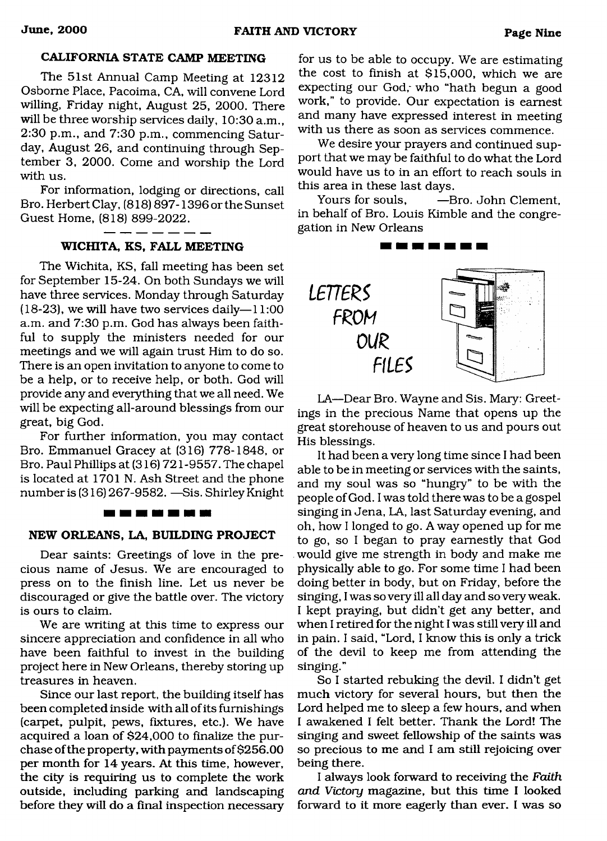#### **CALIFORNIA STATE CAMP MEETING**

The 51st Annual Camp Meeting at 12312 Osborne Place, Pacoima, CA, will convene Lord willing, Friday night, August 25, 2000. There will be three worship services daily, 10:30 a.m., 2:30 p.m., and 7:30 p.m., commencing Saturday, August 26, and continuing through September 3, 2000. Come and worship the Lord with us.

For information, lodging or directions, call Bro. Herbert Clay, (818) 897-1396 or the Sunset Guest Home, (818) 899-2022.

#### **WICHITA, KS, FALL MEETING**

The Wichita, KS, fall meeting has been set for September 15-24. On both Sundays we will have three services. Monday through Saturday (18-23), we will have two services daily- $-11:00$ a.m. and 7:30 p.m. God has always been faithful to supply the ministers needed for our meetings and we will again trust Him to do so. There is an open invitation to anyone to come to be a help, or to receive help, or both. God will provide any and everything that we all need. We will be expecting all-around blessings from our great, big God.

For further information, you may contact Bro. Emmanuel Gracey at (316) 778-1848, or Bro. Paul Phillips at (316) 721 -9557. The chapel is located at 1701 N. Ash Street and the phone number is (316) 267-9582. — Sis. Shirley Knight

#### <u>the the second bet see that she</u>

#### **NEW ORLEANS, LA, BUILDING PROJECT**

Dear saints: Greetings of love in the precious name of Jesus. We are encouraged to press on to the finish line. Let us never be discouraged or give the battle over. The victory is ours to claim.

We are writing at this time to express our sincere appreciation and confidence in all who have been faithful to invest in the building project here in New Orleans, thereby storing up treasures in heaven.

Since our last report, the building itself has been completed inside with all of its furnishings (carpet, pulpit, pews, fixtures, etc.). We have acquired a loan of \$24,000 to finalize the purchase of the property, with payments of \$256.00 per month for 14 years. At this time, however, the city is requiring us to complete the work outside, including parking and landscaping before they will do a final inspection necessary for us to be able to occupy. We are estimating the cost to finish at \$15,000, which we are expecting our God, who "hath begun a good work," to provide. Our expectation is earnest and many have expressed interest in meeting with us there as soon as services commence.

We desire your prayers and continued support that we may be faithful to do what the Lord would have us to in an effort to reach souls in this area in these last days.

Yours for souls,  $\qquad -$ Bro. John Clement, in behalf of Bro. Louis Kimble and the congregation in New Orleans



LA—Dear Bro. Wayne and Sis. Mary: Greetings in the precious Name that opens up the great storehouse of heaven to us and pours out His blessings.

It had been a very long time since I had been able to be in meeting or services with the saints, and my soul was so "hungry" to be with the people of God. I was told there was to be a gospel singing in Jena, LA, last Saturday evening, and oh, how I longed to go. A way opened up for me to go, so I began to pray earnestly that God would give me strength in body and make me physically able to go. For some time I had been doing better in body, but on Friday, before the singing, I was so very ill all day and so very weak. I kept praying, but didn't get any better, and when I retired for the night I was still very ill and in pain. I said, "Lord, I know this is only a trick of the devil to keep me from attending the singing."

So I started rebuking the devil. I didn't get much victory for several hours, but then the Lord helped me to sleep a few hours, and when I awakened I felt better. Thank the Lord! The singing and sweet fellowship of the saints was so precious to me and I am still rejoicing over being there.

I always look forward to receiving the *Faith and Victory* magazine, but this time I looked forward to it more eagerly than ever. I was so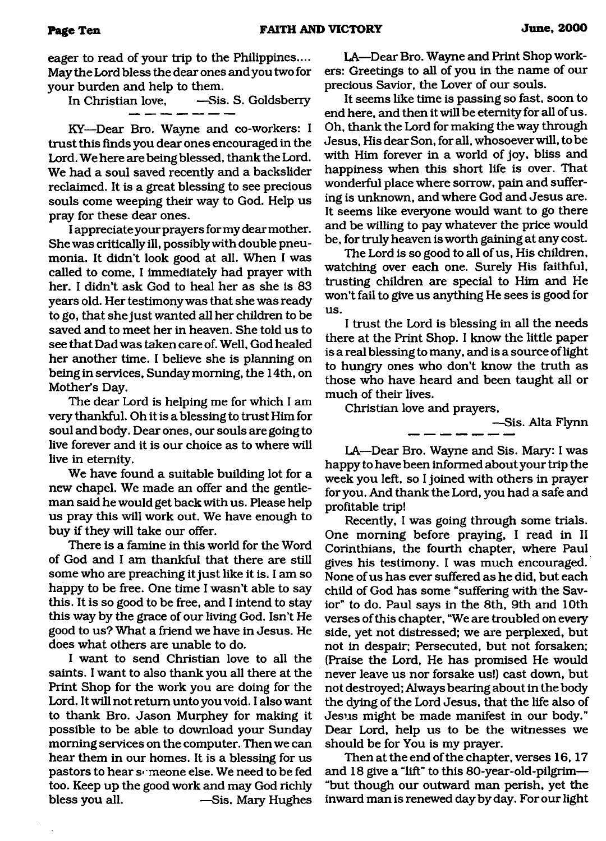eager to read of your trip to the Philippines.... May the Lord bless the dear ones and you two for your burden and help to them.

In Christian love, —Sis. S. Goldsberry

KY—Dear Bro. Wayne and co-workers: I trust this finds you dear ones encouraged in the Lord. We here are being blessed, thank the Lord. We had a soul saved recently and a backslider reclaimed. It is a great blessing to see precious souls come weeping their way to God. Help us pray for these dear ones.

I appreciate your prayers for my dear mother. She was critically ill, possibly with double pneumonia. It didn't look good at all. When I was called to come, I immediately had prayer with her. I didn't ask God to heal her as she is 83 years old. Her testimony was that she was ready to go, that she just wanted all her children to be saved and to meet her in heaven. She told us to see that Dad was taken care of. Well, God healed her another time. I believe she is planning on being in services, Sunday morning, the 14th, on Mother's Day.

The dear Lord is helping me for which I am very thankful. Oh it is a blessing to trust Him for soul and body. Dear ones, our souls are going to live forever and it is our choice as to where will live in eternity.

We have found a suitable building lot for a new chapel. We made an offer and the gentleman said he would get back with us. Please help us pray this will work out. We have enough to buy if they will take our offer.

There is a famine in this world for the Word of God and I am thankful that there are still some who are preaching it just like it is. I am so happy to be free. One time I wasn't able to say this. It is so good to be free, and I intend to stay this way by the grace of our living God. Isn't He good to us? What a friend we have in Jesus. He does what others are unable to do.

I want to send Christian love to all the saints. I want to also thank you all there at the Print Shop for the work you are doing for the Lord. It will not return unto you void. I also want to thank Bro. Jason Murphey for making it possible to be able to download your Sunday morning services on the computer. Then we can hear them in our homes. It is a blessing for us pastors to hear someone else. We need to be fed too. Keep up the good work and may God richly bless you all. ——Sis. Mary Hughes

LA—Dear Bro. Wayne and Print Shop workers: Greetings to all of you in the name of our precious Savior, the Lover of our souls.

It seems like time is passing so fast, soon to end here, and then it will be eternity for all of us. Oh, thank the Lord for making the way through Jesus, His dearSon, for all, whosoever will, to be with Him forever in a world of joy, bliss and happiness when this short life is over. That wonderful place where sorrow, pain and suffering is unknown, and where God and Jesus are. It seems like everyone would want to go there and be willing to pay whatever the price would be, for truly heaven is worth gaining at any cost.

The Lord is so good to all of us, His children, watching over each one. Surely His faithful, trusting children are special to Him and He won't fail to give us anything He sees is good for us.

I trust the Lord is blessing in all the needs there at the Print Shop. I know the little paper is a real blessing to many, and is a source of light to hungry ones who don't know the truth as those who have heard and been taught all or much of their lives.

Christian love and prayers,

—Sis. Alta Flynn

LA—Dear Bro. Wayne and Sis. Mary: I was happy to have been informed about your trip the week you left, so I joined with others in prayer for you. And thank the Lord, you had a safe and profitable trip!

Recently, I was going through some trials. One morning before praying, I read in II Corinthians, the fourth chapter, where Paul gives his testimony. I was much encouraged. None of us has ever suffered as he did, but each child of God has some "suffering with the Savior'' to do. Paul says in the 8th, 9th and 10th verses of this chapter, "We are troubled on every side, yet not distressed; we are perplexed, but not in despair; Persecuted, but not forsaken; (Praise the Lord, He has promised He would never leave us nor forsake us!) cast down, but not destroyed; Always bearing about in the body the dying of the Lord Jesus, that the life also of Jesus might be made manifest in our body." Dear Lord, help us to be the witnesses we should be for You is my prayer.

Then at the end of the chapter, verses 16,17 and 18 give a "lift" to this 80-year-old-pilgrim— "but though our outward man perish, yet the inward man is renewed day by day. For our light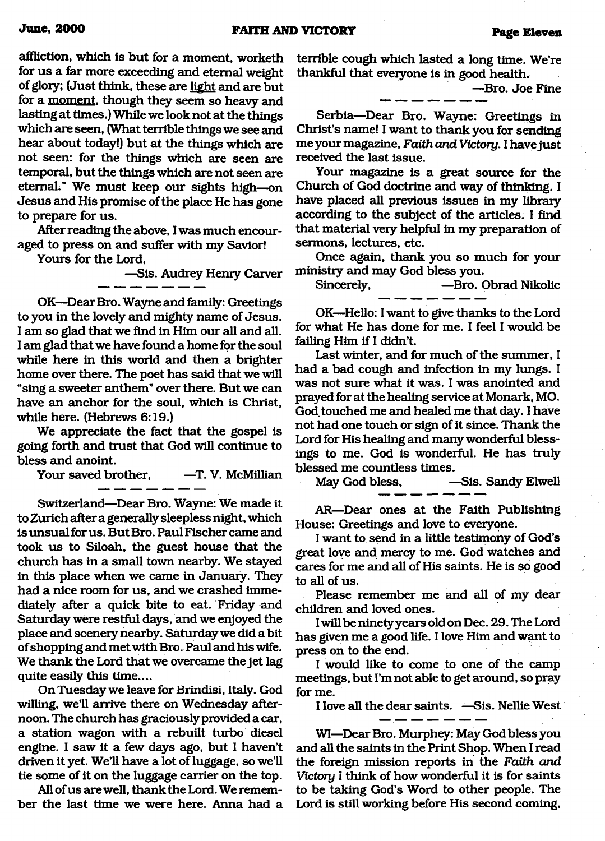affliction, which is but for a moment, worketh for us a far more exceeding and eternal weight of glory; (Just think, these are light and are but for a moment, though they seem so heavy and lasting at times.) While we look not at the things which are seen, (What terrible things we see and hear about today!) but at the things which are not seen: for the things which are seen are temporal, but the things which are not seen are eternal." We must keep our sights high—on Jesus and His promise of the place He has gone to prepare for us.

After reading the above, I was much encouraged to press on and suffer with my Savior!

Yours for the Lord,

—Sis. Audrey Henry Carver

OK—DearBro. Wayne and family: Greetings to you in the lovely and mighty name of Jesus. I am so glad that we find in Him our all and all. I am glad that we have found a home for the soul while here in this world and then a brighter home over there. The poet has said that we will "sing a sweeter anthem" over there. But we can have an anchor for the soul, which is Christ, while here. (Hebrews 6:19.)

We appreciate the fact that the gospel is going forth and trust that God will continue to bless and anoint.

Your saved brother. - T. V. McMillian

Switzerland—Dear Bro. Wayne: We made it

to Zurich after a generally sleepless night, which is unsual for us. But Bro. Paul Fischer came and took us to Siloah, the guest house that the church has in a small town nearby. We stayed in this place when we came in January. They had a nice room for us, and we crashed immediately after a quick bite to eat. Friday and Saturday were restful days, and we enjoyed the place and scenery nearby. Saturday we did a bit of shopping and met with Bro. Paul and his wife. We thank the Lord that we overcame the jet lag quite easily this time....

On Tuesday we leave for Brindisi, Italy. God willing, we'll arrive there on Wednesday afternoon. The church has graciously provided a car, a station wagon with a rebuilt turbo diesel engine. I saw it a few days ago, but I haven't driven it yet. We'll have a lot of luggage, so we'll tie some of it on the luggage carrier on the top.

All of us are well, thank the Lord. We remember the last time we were here. Anna had a terrible cough which lasted a long time. We're thankful that everyone is in good health.

—Bro. Joe Fine

Serbia—Dear Bro. Wayne: Greetings in Christ's name! I want to thank you for sending me your magazine, *Faith and Victory.* I have just received the last issue.

Your magazine is a great source for the Church of God doctrine and way of thinking. I have placed all previous issues in my library according to the subject of the articles. I find that material very helpful in my preparation of sermons, lectures, etc.

Once again, thank you so much for your ministry and may God bless you.

Sincerely, **—Bro. Obrad Nikolic** 

OK—Hello: I want to give thanks to the Lord for what He has done for me. I feel I would be failing Him if I didn't.

Last winter, and for much of the summer, I had a bad cough and infection in my lungs. I was not sure what it was. I was anointed and prayed for at the healing service at Monark, MO. God touched me and healed me that day. I have not had one touch or sign of it since. Thank the Lord for His healing and many wonderful blessings to me. God is wonderful. He has truly blessed me countless times.

May God bless. — Sis. Sandy Elwell

AR—Dear ones at the Faith Publishing House: Greetings and love to everyone.

I want to send in a little testimony of God's great love and mercy to me. God watches and cares for me and all of His saints. He is so good to all of us.

Please remember me and all of my dear children and loved ones.

I will be ninetyyears old on Dec. 29. The Lord has given me a good life. I love Him and want to press on to the end.

I would like to come to one of the camp meetings, but I'm not able to get around, so pray for me.

I love all the dear saints. —Sis. Nellie West

WI—Dear Bro. Murphey: May God bless you and all the saints in the Print Shop. When I read the foreign mission reports in the *Faith and Victory* I think of how wonderful it is for saints to be taking God's Word to other people. The Lord is still working before His second coming,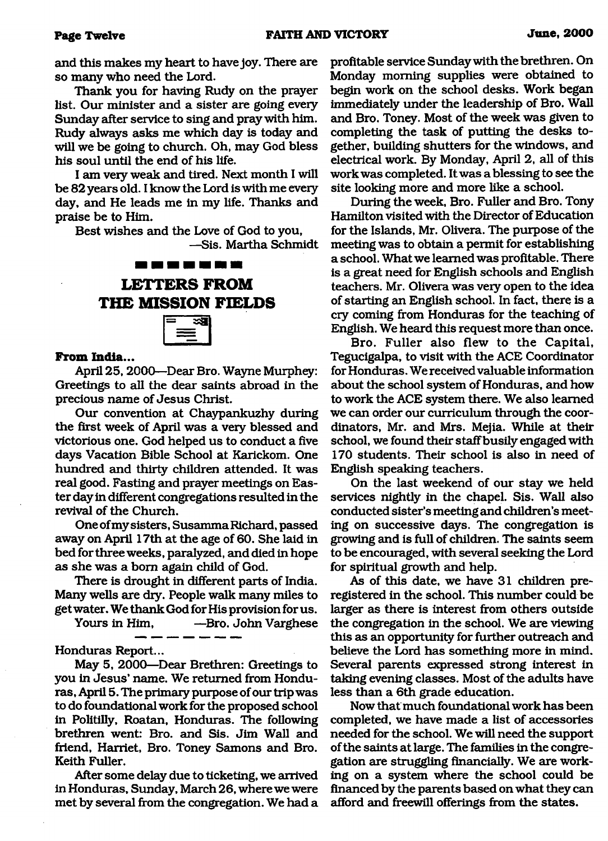and this makes my heart to have joy. There are so many who need the Lord.

Thank you for having Rudy on the prayer list. Our minister and a sister are going every Sunday after service to sing and pray with him. Rudy always asks me which day is today and will we be going to church. Oh, may God bless his soul until the end of his life.

I am very weak and tired. Next month I will be 82 years old. I know the Lord is with me every day, and He leads me in my life. Thanks and praise be to Him.

Best wishes and the Love of God to you,

—Sis. Martha Schmidt

# **LETTERS FROM THE MISSION FIELDS**



#### **From India...**

April 25,2000—Dear Bro. Wayne Murphey: Greetings to all the dear saints abroad in the precious name of Jesus Christ.

Our convention at Chaypankuzhy during the first week of April was a very blessed and victorious one. God helped us to conduct a five days Vacation Bible School at Karickom. One hundred and thirty children attended. It was real good. Fasting and prayer meetings on Easter day in different congregations resulted in the revival of the Church.

One of my sisters, Susamma Richard, passed away on April 17th at the age of 60. She laid in bed for three weeks, paralyzed, and died in hope as she was a bom again child of God.

There is drought in different parts of India. Many wells are dry. People walk many miles to get water. We thank God for His provision for us.

Yours in Him, —Bro. John Varghese

Honduras Report...

May 5, 2000—Dear Brethren: Greetings to you in Jesus' name. We returned from Honduras, April 5. The primary purpose of our trip was to do foundational work for the proposed school in Politilly, Roatan, Honduras. The following brethren went: Bro. and Sis. Jim Wall and friend, Harriet, Bro. Toney Samons and Bro. Keith Fuller.

After some delay due to ticketing, we arrived in Honduras, Sunday, March 26, where we were met by several from the congregation. We had a profitable service Sunday with the brethren. On Monday morning supplies were obtained to begin work on the school desks. Work began immediately under the leadership of Bro. Wall and Bro. Toney. Most of the week was given to completing the task of putting the desks together, building shutters for the windows, and electrical work. By Monday, April 2, all of this work was completed. It was a blessing to see the site looking more and more like a school.

During the week, Bro. Fuller and Bro. Tony Hamilton visited with the Director of Education for the Islands, Mr. Olivera. The purpose of the meeting was to obtain a permit for establishing a school. What we learned was profitable. There is a great need for English schools and English teachers. Mr. Olivera was very open to the idea of starting an English school. In fact, there is a ciy coming from Honduras for the teaching of English. We heard this request more than once.

Bro. Fuller also flew to the Capital, Tegucigalpa, to visit with the ACE Coordinator for Honduras. We received valuable information about the school system of Honduras, and how to work the ACE system there. We also learned we can order our curriculum through the coordinators, Mr. and Mrs. Mejia. While at their school, we found their staff busily engaged with 170 students. Their school is also in need of English speaking teachers.

On the last weekend of our stay we held services nightly in the chapel. Sis. Wall also conducted sister's meeting and children's meeting on successive days. The congregation is growing and is full of children. The saints seem to be encouraged, with several seeking the Lord for spiritual growth and help.

As of this date, we have 31 children preregistered in the school. This number could be larger as there is interest from others outside the congregation in the school. We are viewing this as an opportunity for further outreach and believe the Lord has something more in mind. Several parents expressed strong interest in taking evening classes. Most of the adults have less than a 6th grade education.

Now that much foundational work has been completed, we have made a list of accessories needed for the school. We will need the support of the saints at large. The families in the congregation are struggling financially. We are working on a system where the school could be financed by the parents based on what they can afford and freewill offerings from the states.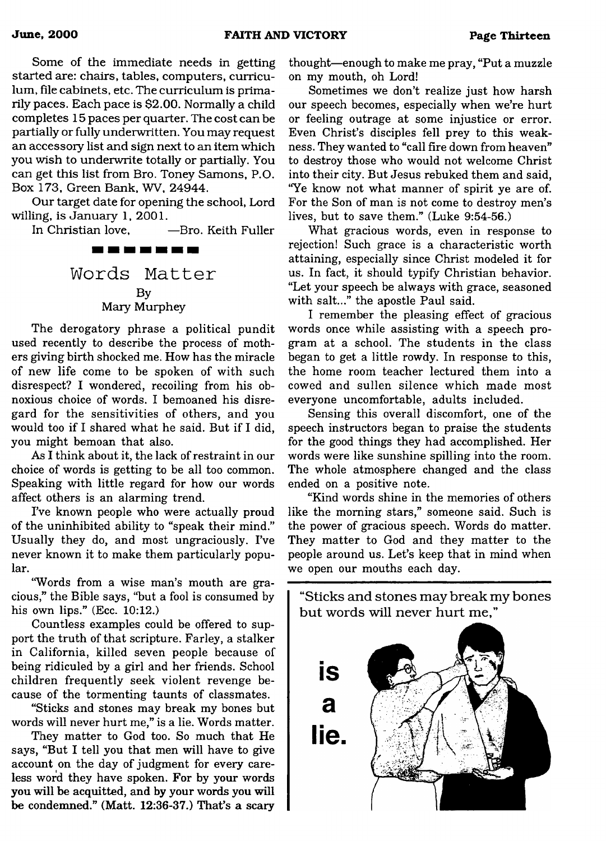Some of the immediate needs in getting started are: chairs, tables, computers, curriculum, file cabinets, etc. The curriculum is primarily paces. Each pace is \$2.00. Normally a child completes 15 paces per quarter. The cost can be partially or fully underwritten. You may request an accessory list and sign next to an item which you wish to underwrite totally or partially. You can get this list from Bro. Toney Samons, P.O. Box 173, Green Bank, WV, 24944.

Our target date for opening the school, Lord willing, is January 1, 2001.

In Christian love, —Bro. Keith Fuller

. . . . . . . **Words M atter** By

Mary Murphey

The derogatory phrase a political pundit used recently to describe the process of mothers giving birth shocked me. How has the miracle of new life come to be spoken of with such disrespect? I wondered, recoiling from his obnoxious choice of words. I bemoaned his disregard for the sensitivities of others, and you would too if I shared what he said. But if I did, you might bemoan that also.

As I think about it, the lack of restraint in our choice of words is getting to be all too common. Speaking with little regard for how our words affect others is an alarming trend.

I've known people who were actually proud of the uninhibited ability to "speak their mind." Usually they do, and most ungraciously. I've never known it to make them particularly popular.

"Words from a wise man's mouth are gracious," the Bible says, "but a fool is consumed by his own lips." (Ecc. 10:12.)

Countless examples could be offered to support the truth of that scripture. Farley, a stalker in California, killed seven people because of being ridiculed by a girl and her friends. School children frequently seek violent revenge because of the tormenting taunts of classmates.

"Sticks and stones may break my bones but words will never hurt me," is a lie. Words matter.

They matter to God too. So much that He says, "But I tell you that men will have to give account on the day of judgment for every careless word they have spoken. For by your words you will be acquitted, and by your words you will be condemned." (Matt. 12:36-37.) That's a scary thought—enough to make me pray, "Put a muzzle on my mouth, oh Lord!

Sometimes we don't realize just how harsh our speech becomes, especially when we're hurt or feeling outrage at some injustice or error. Even Christ's disciples fell prey to this weakness. They wanted to "call fire down from heaven" to destroy those who would not welcome Christ into their city. But Jesus rebuked them and said, "Ye know not what manner of spirit ye are of. For the Son of man is not come to destroy men's lives, but to save them." (Luke 9:54-56.)

What gracious words, even in response to rejection! Such grace is a characteristic worth attaining, especially since Christ modeled it for us. In fact, it should typify Christian behavior. "Let your speech be always with grace, seasoned with salt..." the apostle Paul said.

I remember the pleasing effect of gracious words once while assisting with a speech program at a school. The students in the class began to get a little rowdy. In response to this, the home room teacher lectured them into a cowed and sullen silence which made most everyone uncomfortable, adults included.

Sensing this overall discomfort, one of the speech instructors began to praise the students for the good things they had accomplished. Her words were like sunshine spilling into the room. The whole atmosphere changed and the class ended on a positive note.

"Kind words shine in the memories of others like the morning stars," someone said. Such is the power of gracious speech. Words do matter. They matter to God and they matter to the people around us. Let's keep that in mind when we open our mouths each day.

"Sticks and stones may break my bones but words will never hurt me."

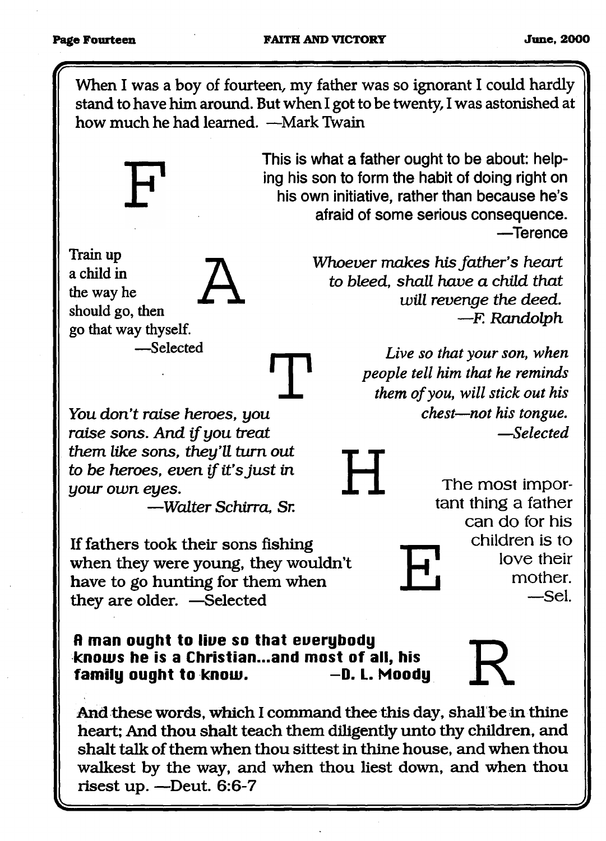When I was a boy of fourteen, my father was so ignorant I could hardly stand to have him around. But when I got to be twenty, I was astonished at how much he had learned. —Mark Twain



**Train up a child in** the way he **should go, then** go that way thyself. **— Selected A** **This is what a father ought to be about: helping his son to form the habit of doing right on his own initiative, rather than because he's afraid of some serious consequence. — Terence**

> *Whoever makes his father's heart to bleed, shall have a child that will revenge the deed.* **—** *F. Randolph*

> > *Live so that your son, when*

The most important thing a father

> can do for his children is to

> > love their mother. —Sel.

*people tell him that he reminds them of you, will stick out his chest—not his tongue. —Selected* **H**

**E**

**You** *don 't raise heroes, you* **T** *raise sons. And if you treat them like sons, they'll turn out to be heroes, even if it's just in your own eyes.*

*— Walter Schirra, Sr.*

**If fathers took their sons fishing** when they were young, they wouldn't **have to go hunting for them when they are older. — Selected**

**fl man ought to liue so that euerybody knows he is a Christian...and most of all, his** family ought to know. **All Accords**  $-$ D. L. Moody

**And these words, which I command thee this day, shall be in thine heart; And thou shalt teach them diligently unto thy children, and** shalt talk of them when thou sittest in thine house, and when thou walkest by the way, and when thou liest down, and when thou **risest up. — Deut. 6:6-7**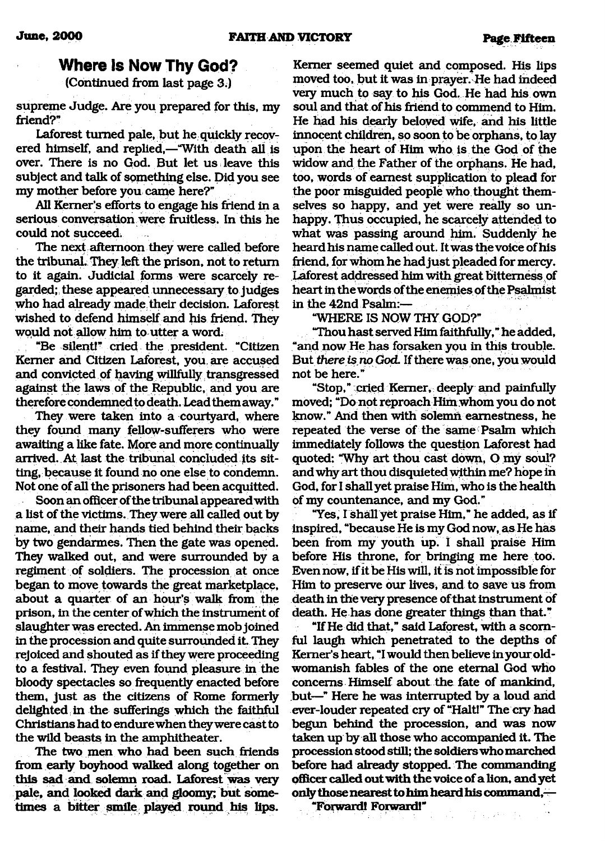### Where Is Now Thy God?

(Continued from last page 3.)

supreme Judge. Are you prepared for this, my friend?"

Laforest turned pale, but he quickly recovered himself, and replied,—"With death all is over. There is no God. But let us leave this subject and talk of something else. Did you see my mother before you came here?"

All Kemer's efforts to engage his friend in a serious conversation were fruitless. In this he could not succeed.

The next afternoon they were called before the tribunal. They left the prison, not to return to it again. Judicial forms were scarcely regarded;: these appeared unnecessary to judges who had already made, their decision. Laforest wished to defend himself and his friend. They would not allow him to utter a word.

; "Be silent!" cried the president. "Citizen Kemer and Citizen Laforest, you. are accused and convicted of having willfully. transgressed against the laws of the Republic, and you are therefore condemned to death. Lead them away."

They were taken into a courtyard, where they found many fellow-sufferers who were awaiting a like fate. More and more continually arrived. At last the tribunal concluded its sitting, because it found no one else to condemn. Not one of all the prisoners had been acquitted.

Soon an officer of the tribunal appeared with a list of the victims. They were all called out by name, and their hands tied behind their backs by two gendarmes. Then the gate was opened. They walked out, and were surrounded by a regiment of soldiers. The procession at once began to move towards the great marketplace, about a quarter of an hour's walk from the prison, in the center of which the instrument of slaughter was erected. An immense mob joined in the procession and quite surrounded it. They rejoiced and shouted as if they were proceeding to a festival. They even found pleasure in the bloody spectacles so frequently enacted before them, just as the citizens of Rome formerly delighted in the sufferings which the faithful Christians had to endure when they were cast to the wild beasts in the amphitheater.

The two men who had been such friends from early boyhood walked along together on this sad and solemn road. Laforest was very pale, and looked dark and gloomy; but sometimes a bitter smile played round his lips.

Kemer seemed quiet and composed. His lips moved too, but it was in prayer. He had indeed very much to say to his God, He had his own soul and that of his friend to commend to Him. He had his dearly beloved wife, and his little innocent children, so soon to be orphans, to lay upon the heart of Him who is the God of the widow and the Father of the orphans. He had, too, words of earnest supplication to plead for the poor misguided people who thought themselves so happy, and yet were really so unhappy. Thus occupied, he scarcely attended to what was passing around him. Suddenly he heard his name called out. It was the voice of his friend, for whom he had just pleaded for mercy. Laforest addressed him with great bitterness of heart in the words of the enemies of the Psalmist in the 42nd Psalm:—

"WHERE IS NOW THY GOD?"

"Thou hast served Him faithfully," he added, "and now He has forsaken you in this trouble. But *there is no* God. If there was one, you would not be here."

"Stop," cried Kemer, deeply and painfully moved; "Do not reproach Him whom you do not know." Arid then with solemn earnestness, he repeated the verse of the same Psalm which immediately follows the question Laforest had quoted: "Why art thou cast down, O my soul? and why art thou disquieted within me? hope in God, for I shall yet praise Him, who is the health Of my countenance, and my God."

"Yes, I shall yet praise Him," he added, as if inspired, "because He is my God now, as He has been from my youth up. I shall praise Him before His throne, for bringing me here too. Even now, if it be His will, it is not impossible for Him to preserve our lives, and to save us from death in the very presence of that instrument of death. He has done greater things than that."

"If He did that," said Laforest, with a scornful laugh which penetrated to the depths of Kemer's heart, "I would then believe in your oldwomanish fables of the one eternal God who concerns Himself about the fate of mankind, but—" Here he was interrupted by a loud and ever-louder repeated cry of "Halt!" The cry had begun behind the procession, and was now taken up by all those who accompanied it. The procession stood still; the soldiers who marched before had already stopped. The commanding officer called out with the voice of a lion, and yet only those nearest to him heard his command, $\ddot{\quad}$ 

 $\frac{1}{2}$  ,  $\frac{1}{2}$  ,  $\frac{1}{2}$  ,  $\frac{1}{2}$ 

"Forward! Forward!"